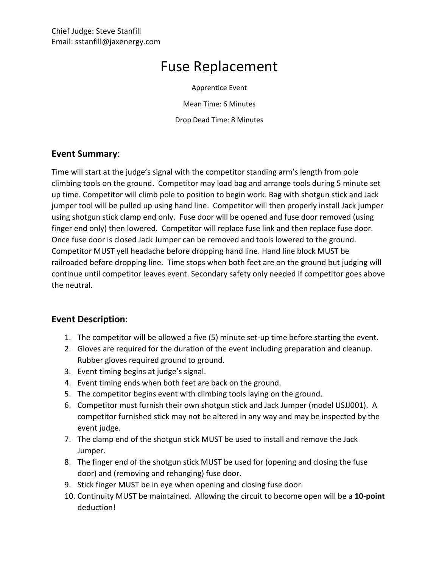## Fuse Replacement

Apprentice Event

Mean Time: 6 Minutes

Drop Dead Time: 8 Minutes

## **Event Summary**:

Time will start at the judge's signal with the competitor standing arm's length from pole climbing tools on the ground. Competitor may load bag and arrange tools during 5 minute set up time. Competitor will climb pole to position to begin work. Bag with shotgun stick and Jack jumper tool will be pulled up using hand line. Competitor will then properly install Jack jumper using shotgun stick clamp end only. Fuse door will be opened and fuse door removed (using finger end only) then lowered. Competitor will replace fuse link and then replace fuse door. Once fuse door is closed Jack Jumper can be removed and tools lowered to the ground. Competitor MUST yell headache before dropping hand line. Hand line block MUST be railroaded before dropping line. Time stops when both feet are on the ground but judging will continue until competitor leaves event. Secondary safety only needed if competitor goes above the neutral.

## **Event Description**:

- 1. The competitor will be allowed a five (5) minute set-up time before starting the event.
- 2. Gloves are required for the duration of the event including preparation and cleanup. Rubber gloves required ground to ground.
- 3. Event timing begins at judge's signal.
- 4. Event timing ends when both feet are back on the ground.
- 5. The competitor begins event with climbing tools laying on the ground.
- 6. Competitor must furnish their own shotgun stick and Jack Jumper (model USJJ001). A competitor furnished stick may not be altered in any way and may be inspected by the event judge.
- 7. The clamp end of the shotgun stick MUST be used to install and remove the Jack Jumper.
- 8. The finger end of the shotgun stick MUST be used for (opening and closing the fuse door) and (removing and rehanging) fuse door.
- 9. Stick finger MUST be in eye when opening and closing fuse door.
- 10. Continuity MUST be maintained. Allowing the circuit to become open will be a **10-point** deduction!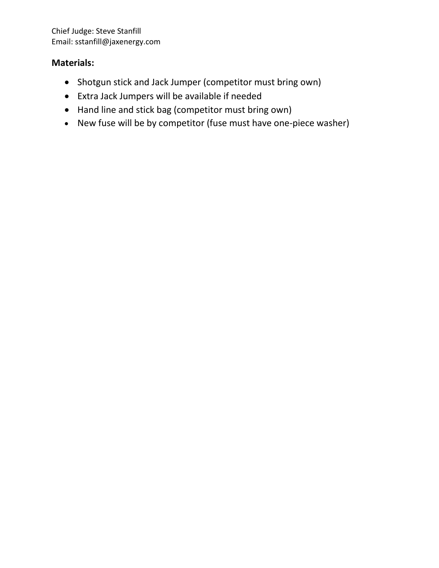## **Materials:**

- Shotgun stick and Jack Jumper (competitor must bring own)
- Extra Jack Jumpers will be available if needed
- Hand line and stick bag (competitor must bring own)
- New fuse will be by competitor (fuse must have one-piece washer)